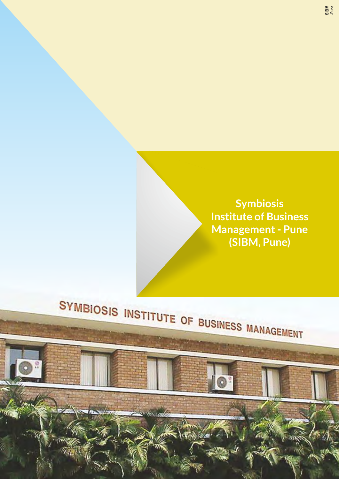

# SYMBIOSIS INSTITUTE OF BUSINESS MANAGEMENT

 $\sqrt{3}$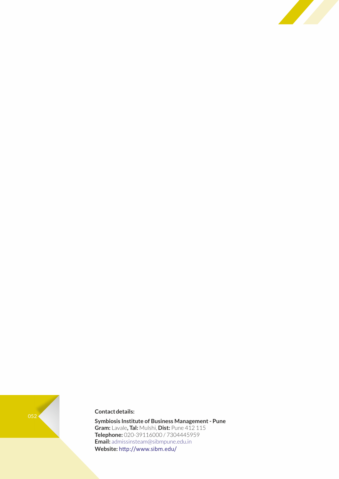



# **Contact details:**

**Symbiosis Institute of Business Management - Pune Gram:** Lavale**, Tal:** Mulshi, **Dist:** Pune 412 115 **Telephone:** 020-39116000 / 7304445959 **Email:** admissinsteam@sibmpune.edu.in Website: http://www.sibm.edu/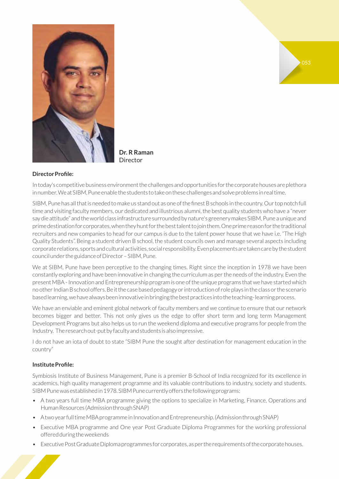

**Dr. R Raman**  Director

# **Director Profile:**

In today's competitive business environment the challenges and opportunities for the corporate houses are plethora in number. We at SIBM, Pune enable the students to take on these challenges and solve problems in real time.

SIBM, Pune has all that is needed to make us stand out as one of the finest B schools in the country. Our top notch full time and visiting faculty members, our dedicated and illustrious alumni, the best quality students who have a "never say die attitude" and the world class infrastructure surrounded by nature's greenery makes SIBM, Pune a unique and prime destination for corporates, when they hunt for the best talent to join them. One prime reason for the traditional recruiters and new companies to head for our campus is due to the talent power house that we have i.e. "The High Quality Students". Being a student driven B school, the student councils own and manage several aspects including corporate relations, sports and cultural activities, social responsibility. Even placements are taken care by the student council under the guidance of Director – SIBM, Pune.

We at SIBM, Pune have been perceptive to the changing times. Right since the inception in 1978 we have been constantly exploring and have been innovative in changing the curriculum as per the needs of the industry. Even the present MBA - Innovation and Entrepreneurship program is one of the unique programs that we have started which no other Indian B school offers. Be it the case based pedagogy or introduction of role plays in the class or the scenario based learning, we have always been innovative in bringing the best practices into the teaching- learning process.

We have an enviable and eminent global network of faculty members and we continue to ensure that our network becomes bigger and better. This not only gives us the edge to offer short term and long term Management Development Programs but also helps us to run the weekend diploma and executive programs for people from the Industry. The research out-put by faculty and students is also impressive.

I do not have an iota of doubt to state "SIBM Pune the sought after destination for management education in the country"

# **Institute Profile:**

Symbiosis Institute of Business Management, Pune is a premier B-School of India recognized for its excellence in academics, high quality management programme and its valuable contributions to industry, society and students. SIBM Pune was established in 1978. SIBM Pune currently offers the following programs:

- A two years full time MBA programme giving the options to specialize in Marketing, Finance, Operations and Human Resources (Admission through SNAP)
- A two year full time MBA programme in Innovation and Entrepreneurship. (Admission through SNAP)
- Executive MBA programme and One year Post Graduate Diploma Programmes for the working professional offered during the weekends
- Executive Post Graduate Diploma programmes for corporates, as per the requirements of the corporate houses.

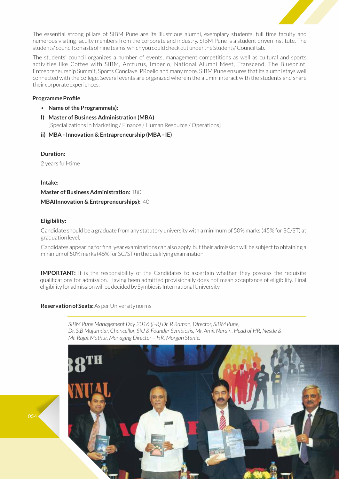

The essential strong pillars of SIBM Pune are its illustrious alumni, exemplary students, full time faculty and numerous visiting faculty members from the corporate and industry. SIBM Pune is a student driven institute. The students' council consists of nine teams, which you could check out under the Students' Council tab.

The students' council organizes a number of events, management competitions as well as cultural and sports activities like Coffee with SIBM, Arcturus, Imperio, National Alumni Meet, Transcend, The Blueprint, Entrepreneurship Summit, Sports Conclave, PRoelio and many more. SIBM Pune ensures that its alumni stays well connected with the college. Several events are organized wherein the alumni interact with the students and share their corporate experiences.

# **Programme Profile**

- **Name of the Programme(s):**
- **I) Master of Business Administration (MBA)** [Specializations in Marketing / Finance / Human Resource / Operations]
- **ii) MBA Innovation & Entrapreneurship (MBA IE)**

# **Duration:**

2 years full-time

# **Intake:**

**Master of Business Administration:** 180 **MBA(Innovation & Entrepreneurships):** 40

# **Eligibility:**

Candidate should be a graduate from any statutory university with a minimum of 50% marks (45% for SC/ST) at graduation level.

Candidates appearing for final year examinations can also apply, but their admission will be subject to obtaining a minimum of 50% marks (45% for SC/ST) in the qualifying examination.

**IMPORTANT:** It is the responsibility of the Candidates to ascertain whether they possess the requisite qualifications for admission. Having been admitted provisionally does not mean acceptance of eligibility. Final eligibility for admission will be decided by Symbiosis International University.

# **Reservation of Seats:** As per University norms

*SIBM Pune Management Day 2016 (L-R) Dr. R Raman, Director, SIBM Pune, Dr. S.B Mujumdar, Chancellor, SIU & Founder Symbiosis, Mr. Amit Narain, Head of HR, Nestle & Mr. Rajat Mathur, Managing Director – HR, Morgan Stanle.*



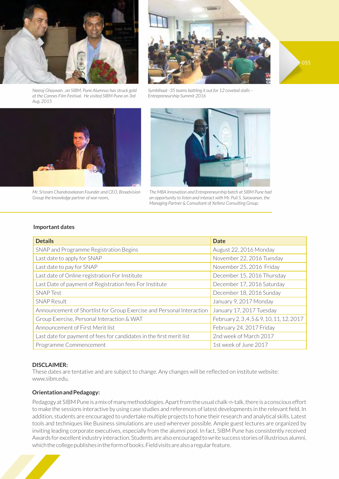

*Neeraj Ghaywan , an SIBM, Pune Alumnus has struck gold at the Cannes Film Festival. He visited SIBM Pune on 3rd Aug. 2015*



*Mr. Srisram Chandrasekaran Founder and CEO, Broadvision Group the knowledge partner of war room,.*



055

*Symbihaat -35 teams battling it out for 12 coveted stalls – Entrepreneurship Summit 2016*



*The MBA Innovation and Entrepreneurship batch at SIBM Pune had an opportunity to listen and interact with Mr. Puli S. Saravanan, the Managing Partner & Consultant of Xellenz Consulting Group.* 

#### **Important dates**

| <b>Details</b>                                                        | <b>Date</b>                               |
|-----------------------------------------------------------------------|-------------------------------------------|
| SNAP and Programme Registration Begins                                | August 22, 2016 Monday                    |
| Last date to apply for SNAP                                           | November 22, 2016 Tuesday                 |
| Last date to pay for SNAP                                             | November 25, 2016 Friday                  |
| Last date of Online registration For Institute                        | December 15, 2016 Thursday                |
| Last Date of payment of Registration fees For Institute               | December 17, 2016 Saturday                |
| <b>SNAP Test</b>                                                      | December 18, 2016 Sunday                  |
| <b>SNAP Result</b>                                                    | January 9, 2017 Monday                    |
| Announcement of Shortlist for Group Exercise and Personal Interaction | January 17, 2017 Tuesday                  |
| Group Exercise, Personal Interaction & WAT                            | February 2, 3, 4, 5 & 9, 10, 11, 12, 2017 |
| Announcement of First Merit list                                      | February 24, 2017 Friday                  |
| Last date for payment of fees for candidates in the first merit list  | 2nd week of March 2017                    |
| Programme Commencement                                                | 1st week of June 2017                     |

# **DISCLAIMER:**

These dates are tentative and are subject to change. Any changes will be reflected on institute website: www.sibm.edu.

#### **Orientation and Pedagogy:**

Pedagogy at SIBM Pune is a mix of many methodologies. Apart from the usual chalk-n-talk, there is a conscious effort to make the sessions interactive by using case studies and references of latest developments in the relevant field. In addition, students are encouraged to undertake multiple projects to hone their research and analytical skills. Latest tools and techniques like Business simulations are used wherever possible. Ample guest lectures are organized by inviting leading corporate executives, especially from the alumni pool. In fact, SIBM Pune has consistently received Awards for excellent industry interaction. Students are also encouraged to write success stories of illustrious alumni, which the college publishes in the form of books. Field visits are also a regular feature.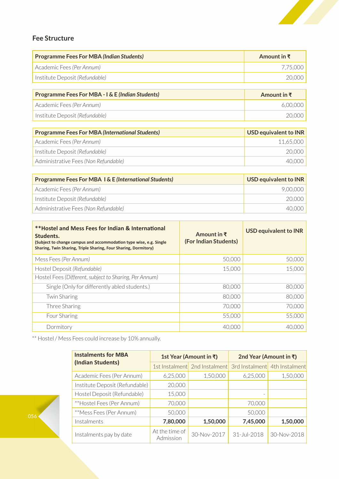

# **Fee Structure**

| Amount in $\bar{\tau}$ |
|------------------------|
| 7.75.000               |
| 20.000                 |
|                        |

| <b>Programme Fees For MBA - I &amp; E (Indian Students)</b> | Amount in $\bar{x}$ |
|-------------------------------------------------------------|---------------------|
| Academic Fees (Per Annum)                                   | 6.00.000            |
| Institute Deposit (Refundable)                              | 20.000              |

| <b>Programme Fees For MBA (International Students)</b> | <b>USD equivalent to INR</b> |
|--------------------------------------------------------|------------------------------|
| Academic Fees (Per Annum)                              | 11.65.000                    |
| Institute Deposit (Refundable)                         | 20.000                       |
| Administrative Fees (Non Refundable)                   | 40.000                       |

| <b>Programme Fees For MBA 1&amp; E (International Students)</b> | USD equivalent to INR |
|-----------------------------------------------------------------|-----------------------|
| Academic Fees (Per Annum)                                       | 9.00.000              |
| Institute Deposit (Refundable)                                  | 20,000                |
| Administrative Fees (Non Refundable)                            | 4()()()()             |

| <b>**Hostel and Mess Fees for Indian &amp; International</b><br>Students.<br>(Subject to change campus and accommodation type wise, e.g. Single<br>Sharing, Twin Sharing, Triple Sharing, Four Sharing, Dormitory) | Amount in $\bar{x}$<br>(For Indian Students) | <b>USD equivalent to INR</b> |  |
|--------------------------------------------------------------------------------------------------------------------------------------------------------------------------------------------------------------------|----------------------------------------------|------------------------------|--|
| Mess Fees (Per Annum)                                                                                                                                                                                              | 50,000                                       | 50,000                       |  |
| Hostel Deposit (Refundable)                                                                                                                                                                                        | 15,000                                       | 15,000                       |  |
| Hostel Fees (Different, subject to Sharing, Per Annum)                                                                                                                                                             |                                              |                              |  |
| Single (Only for differently abled students.)                                                                                                                                                                      | 80,000                                       | 80,000                       |  |
| <b>Twin Sharing</b>                                                                                                                                                                                                | 80,000                                       | 80,000                       |  |
| Three Sharing                                                                                                                                                                                                      | 70,000                                       | 70,000                       |  |
| Four Sharing                                                                                                                                                                                                       | 55,000                                       | 55,000                       |  |
| Dormitory                                                                                                                                                                                                          | 40,000                                       | 40.00C                       |  |

\*\* Hostel / Mess Fees could increase by 10% annually.

| <b>Instalments for MBA</b>     |                             | 1st Year (Amount in ₹)        | 2nd Year (Amount in ₹) |                               |  |
|--------------------------------|-----------------------------|-------------------------------|------------------------|-------------------------------|--|
| (Indian Students)              |                             | 1st Instalment 2nd Instalment |                        | 3rd Instalment 4th Instalment |  |
| Academic Fees (Per Annum)      | 6,25,000                    | 1,50,000                      | 6,25,000               | 1,50,000                      |  |
| Institute Deposit (Refundable) | 20,000                      |                               |                        |                               |  |
| Hostel Deposit (Refundable)    | 15,000                      |                               |                        |                               |  |
| **Hostel Fees (Per Annum)      | 70,000                      |                               | 70,000                 |                               |  |
| **Mess Fees (Per Annum)        | 50,000                      |                               | 50,000                 |                               |  |
| Instalments                    | 7,80,000                    | 1,50,000                      | 7,45,000               | 1,50,000                      |  |
| Instalments pay by date        | At the time of<br>Admission | 30-Nov-2017                   | 31-Jul-2018            | 30-Nov-2018                   |  |

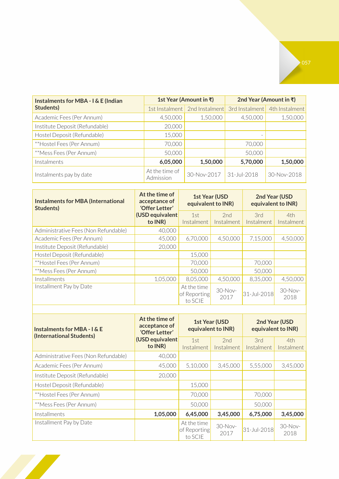| <b>Instalments for MBA - I &amp; E (Indian</b> |                             | 1st Year (Amount in ₹) | 2nd Year (Amount in ₹) |                |  |
|------------------------------------------------|-----------------------------|------------------------|------------------------|----------------|--|
| Students)                                      | 1st Instalment              | 2nd Instalment         | 3rd Instalment         | 4th Instalment |  |
| Academic Fees (Per Annum)                      | 4,50,000                    | 1,50,000               | 4,50,000               | 1,50,000       |  |
| Institute Deposit (Refundable)                 | 20,000                      |                        |                        |                |  |
| Hostel Deposit (Refundable)                    | 15,000                      |                        |                        |                |  |
| **Hostel Fees (Per Annum)                      | 70,000                      |                        | 70,000                 |                |  |
| **Mess Fees (Per Annum)                        | 50,000                      |                        | 50,000                 |                |  |
| Instalments                                    | 6,05,000                    | 1,50,000               | 5,70,000               | 1,50,000       |  |
| Instalments pay by date                        | At the time of<br>Admission | 30-Nov-2017            | $31 - Jul - 2018$      | 30-Nov-2018    |  |

| <b>Instalments for MBA (International</b><br>Students) | At the time of<br>acceptance of<br>'Offer Letter' |                                        | <b>1st Year (USD</b><br>equivalent to INR) | 2nd Year (USD<br>equivalent to INR) |                   |
|--------------------------------------------------------|---------------------------------------------------|----------------------------------------|--------------------------------------------|-------------------------------------|-------------------|
|                                                        | (USD equivalent<br>to INR)                        | 1st<br>Instalment                      | 2nd<br>Instalment                          | 3rd<br>Instalment                   | 4th<br>Instalment |
| Administrative Fees (Non Refundable)                   | 40,000                                            |                                        |                                            |                                     |                   |
|                                                        |                                                   |                                        |                                            |                                     |                   |
| Academic Fees (Per Annum)                              | 45,000                                            | 6,70,000                               | 4,50,000                                   | 7,15,000                            | 4,50,000          |
| Institute Deposit (Refundable)                         | 20,000                                            |                                        |                                            |                                     |                   |
| Hostel Deposit (Refundable)                            |                                                   | 15,000                                 |                                            |                                     |                   |
| **Hostel Fees (Per Annum)                              |                                                   | 70,000                                 |                                            | 70,000                              |                   |
| **Mess Fees (Per Annum)                                |                                                   | 50,000                                 |                                            | 50,000                              |                   |
| Installments                                           | 1,05,000                                          | 8,05,000                               | 4,50,000                                   | 8,35,000                            | 4,50,000          |
| Installment Pay by Date                                |                                                   | At the time<br>of Reporting<br>to SCIE | $30-Nov-$<br>2017                          | 31-Jul-2018                         | $30-Nov-$<br>2018 |

| <b>Instalments for MBA - I &amp; E</b><br>(International Students) | At the time of<br>acceptance of<br>'Offer Letter' | <b>1st Year (USD</b><br>equivalent to INR) |                   | 2nd Year (USD<br>equivalent to INR) |                   |
|--------------------------------------------------------------------|---------------------------------------------------|--------------------------------------------|-------------------|-------------------------------------|-------------------|
|                                                                    | (USD equivalent<br>to INR)                        | 1st<br>Instalment                          | 2nd<br>Instalment | 3rd<br>Instalment                   | 4th<br>Instalment |
| Administrative Fees (Non Refundable)                               | 40,000                                            |                                            |                   |                                     |                   |
| Academic Fees (Per Annum)                                          | 45,000                                            | 5,10,000                                   | 3,45,000          | 5,55,000                            | 3,45,000          |
| Institute Deposit (Refundable)                                     | 20,000                                            |                                            |                   |                                     |                   |
| Hostel Deposit (Refundable)                                        |                                                   | 15,000                                     |                   |                                     |                   |
| **Hostel Fees (Per Annum)                                          |                                                   | 70,000                                     |                   | 70,000                              |                   |
| **Mess Fees (Per Annum)                                            |                                                   | 50,000                                     |                   | 50,000                              |                   |
| Installments                                                       | 1,05,000                                          | 6,45,000                                   | 3,45,000          | 6,75,000                            | 3,45,000          |
| Installment Pay by Date                                            |                                                   | At the time<br>of Reporting<br>to SCIE     | 30-Nov-<br>2017   | 31-Jul-2018                         | 30-Nov-<br>2018   |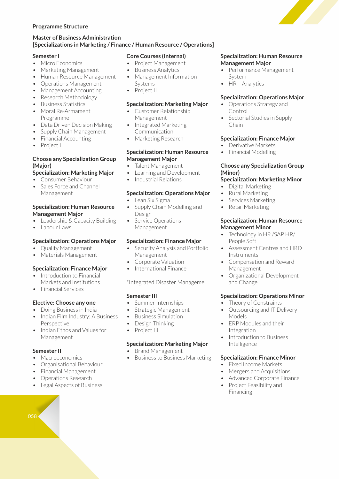# **Programme Structure**

# **Master of Business Administration [Specializations in Marketing / Finance / Human Resource / Operations]**

#### **Semester I**

- Micro Economics
- Marketing Management
- Human Resource Management
- Operations Management
- Management Accounting
- Research Methodology
- Business Statistics
- Moral Re-Armament Programme
- Data Driven Decision Making
- Supply Chain Management
- Financial Accounting
- Project I

# **Choose any Specialization Group (Major)**

# **Specialization: Marketing Major**

- Consumer Behaviour
- Sales Force and Channel Management

# **Specialization: Human Resource Management Major**

- Leadership & Capacity Building
- Labour Laws

# **Specialization: Operations Major**

- Quality Management
- Materials Management

# **Specialization: Finance Major**

- Introduction to Financial Markets and Institutions
- Financial Services

# **Elective: Choose any one**

- Doing Business in India
- Indian Film Industry: A Business Perspective
- Indian Ethos and Values for Management

# **Semester II**

- Macroeconomics
- Organisational Behaviour
- Financial Management
- Operations Research
- Legal Aspects of Business



#### **Core Courses (Internal)**

- Project Management
- Business Analytics
- Management Information Systems
- Project II

# **Specialization: Marketing Major**

- Customer Relationship Management
- Integrated Marketing Communication
- Marketing Research

#### **Specialization: Human Resource Management Major**

- Talent Management
- Learning and Development
- Industrial Relations

# **Specialization: Operations Major**

- Lean Six Sigma
- Supply Chain Modelling and Design
- Service Operations Management

# **Specialization: Finance Major**

- Security Analysis and Portfolio Management
- Corporate Valuation
- International Finance

\*Integrated Disaster Manageme

# **Semester III**

- Summer Internships
- Strategic Management
- Business Simulation
- Design Thinking
- Project III

# **Specialization: Marketing Major**

- Brand Management
- Business to Business Marketing

#### **Specialization: Human Resource Management Major**

- Performance Management System
- HR Analytics

# **Specialization: Operations Major**

- Operations Strategy and Control
- Sectorial Studies in Supply Chain

# **Specialization: Finance Major**

- Derivative Markets
- Financial Modelling

# **Choose any Specialization Group (Minor)**

- **Specialization: Marketing Minor**
- Digital Marketing
- Rural Marketing
- Services Marketing
- Retail Marketing

#### **Specialization: Human Resource Management Minor**

- Technology in HR /SAP HR/ People Soft
- Assessment Centres and HRD **Instruments**
- Compensation and Reward Management
- Organizational Development and Change

# **Specialization: Operations Minor**

- Theory of Constraints
- Outsourcing and IT Delivery Models
- ERP Modules and their Integration
- Introduction to Business Intelligence

# **Specialization: Finance Minor**

- Fixed Income Markets
- Mergers and Acquisitions
- Advanced Corporate Finance
- Project Feasibility and Financing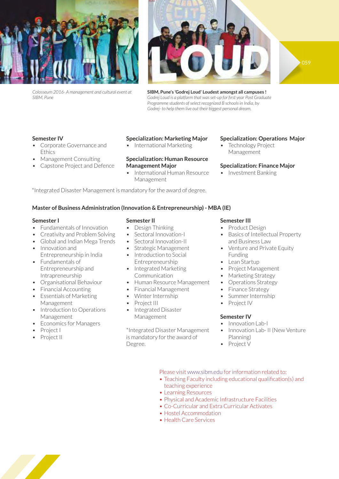







**SIBM, Pune's 'Godrej Loud' Loudest amongst all campuses !** *Godrej Loud is a platform that was set-up for first year Post Graduate Programme students of select recognized B schools in India, by Godrej- to help them live out their biggest personal dream.*

# **Semester IV**

- Corporate Governance and **Ethics**
- Management Consulting
- Capstone Project and Defence

#### **Specialization: Marketing Major**

• International Marketing

# **Specialization: Human Resource Management Major**

• International Human Resource Management

# **Specialization: Operations Major**

**Technology Project** Management

# **Specialization: Finance Major**

• Investment Banking

\*Integrated Disaster Management is mandatory for the award of degree.

# **Master of Business Administration (Innovation & Entrepreneurship) - MBA (IE)**

#### **Semester I**

- Fundamentals of Innovation
- Creativity and Problem Solving
- Global and Indian Mega Trends
- Innovation and Entrepreneurship in India
- Fundamentals of Entrepreneurship and Intrapreneurship
- Organisational Behaviour
- Financial Accounting
- Essentials of Marketing Management
- Introduction to Operations Management
- Economics for Managers
- Project I
- Project II

# **Semester II**

- Design Thinking
- Sectoral Innovation-I
- Sectoral Innovation-II
- Strategic Management • Introduction to Social
- Entrepreneurship
- Integrated Marketing Communication
- Human Resource Management
- Financial Management
- Winter Internship
- Project III
- Integrated Disaster Management

\*Integrated Disaster Management is mandatory for the award of Degree.

# **Semester III**

- Product Design
- Basics of Intellectual Property and Business Law
- Venture and Private Equity Funding
- Lean Startup
- Project Management
- Marketing Strategy
- Operations Strategy
- Finance Strategy
- Summer Internship
- Project IV

# **Semester IV**

- Innovation Lab-I
- Innovation Lab- II (New Venture Planning)
- Project V

# Please visit www.sibm.edu for information related to:

- Teaching Faculty including educational qualification(s) and teaching experience
- Learning Resources
- Physical and Academic Infrastructure Facilities
- Co-Curricular and Extra Curricular Activates
- Hostel Accommodation
- Health Care Services